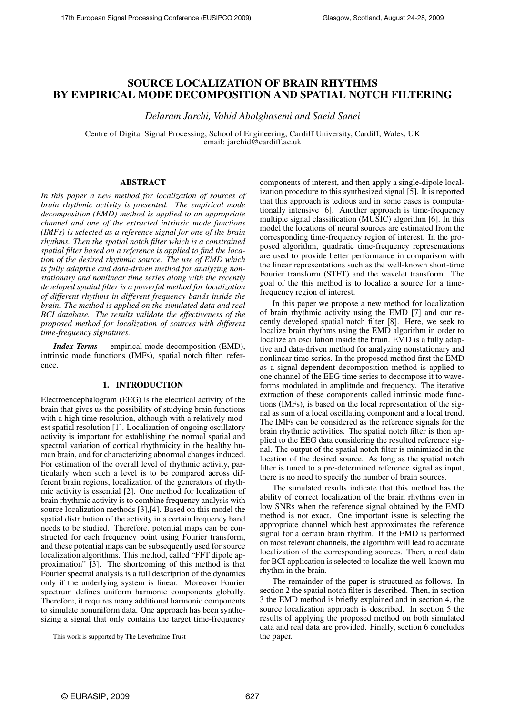# SOURCE LOCALIZATION OF BRAIN RHYTHMS BY EMPIRICAL MODE DECOMPOSITION AND SPATIAL NOTCH FILTERING

*Delaram Jarchi, Vahid Abolghasemi and Saeid Sanei*

Centre of Digital Signal Processing, School of Engineering, Cardiff University, Cardiff, Wales, UK email: jarchid@cardiff.ac.uk

## ABSTRACT

*In this paper a new method for localization of sources of brain rhythmic activity is presented. The empirical mode decomposition (EMD) method is applied to an appropriate channel and one of the extracted intrinsic mode functions (IMFs) is selected as a reference signal for one of the brain rhythms. Then the spatial notch filter which is a constrained spatial filter based on a reference is applied to find the location of the desired rhythmic source. The use of EMD which is fully adaptive and data-driven method for analyzing nonstationary and nonlinear time series along with the recently developed spatial filter is a powerful method for localization of different rhythms in different frequency bands inside the brain. The method is applied on the simulated data and real BCI database. The results validate the effectiveness of the proposed method for localization of sources with different time-frequency signatures.*

*Index Terms*— empirical mode decomposition (EMD), intrinsic mode functions (IMFs), spatial notch filter, reference.

# 1. INTRODUCTION

Electroencephalogram (EEG) is the electrical activity of the brain that gives us the possibility of studying brain functions with a high time resolution, although with a relatively modest spatial resolution [1]. Localization of ongoing oscillatory activity is important for establishing the normal spatial and spectral variation of cortical rhythmicity in the healthy human brain, and for characterizing abnormal changes induced. For estimation of the overall level of rhythmic activity, particularly when such a level is to be compared across different brain regions, localization of the generators of rhythmic activity is essential [2]. One method for localization of brain rhythmic activity is to combine frequency analysis with source localization methods [3],[4]. Based on this model the spatial distribution of the activity in a certain frequency band needs to be studied. Therefore, potential maps can be constructed for each frequency point using Fourier transform, and these potential maps can be subsequently used for source localization algorithms. This method, called "FFT dipole approximation" [3]. The shortcoming of this method is that Fourier spectral analysis is a full description of the dynamics only if the underlying system is linear. Moreover Fourier spectrum defines uniform harmonic components globally. Therefore, it requires many additional harmonic components to simulate nonuniform data. One approach has been synthesizing a signal that only contains the target time-frequency

components of interest, and then apply a single-dipole localization procedure to this synthesized signal [5]. It is reported that this approach is tedious and in some cases is computationally intensive [6]. Another approach is time-frequency multiple signal classification (MUSIC) algorithm [6]. In this model the locations of neural sources are estimated from the corresponding time-frequency region of interest. In the proposed algorithm, quadratic time-frequency representations are used to provide better performance in comparison with the linear representations such as the well-known short-time Fourier transform (STFT) and the wavelet transform. The goal of the this method is to localize a source for a timefrequency region of interest.

In this paper we propose a new method for localization of brain rhythmic activity using the EMD [7] and our recently developed spatial notch filter [8]. Here, we seek to localize brain rhythms using the EMD algorithm in order to localize an oscillation inside the brain. EMD is a fully adaptive and data-driven method for analyzing nonstationary and nonlinear time series. In the proposed method first the EMD as a signal-dependent decomposition method is applied to one channel of the EEG time series to decompose it to waveforms modulated in amplitude and frequency. The iterative extraction of these components called intrinsic mode functions (IMFs), is based on the local representation of the signal as sum of a local oscillating component and a local trend. The IMFs can be considered as the reference signals for the brain rhythmic activities. The spatial notch filter is then applied to the EEG data considering the resulted reference signal. The output of the spatial notch filter is minimized in the location of the desired source. As long as the spatial notch filter is tuned to a pre-determined reference signal as input, there is no need to specify the number of brain sources.

The simulated results indicate that this method has the ability of correct localization of the brain rhythms even in low SNRs when the reference signal obtained by the EMD method is not exact. One important issue is selecting the appropriate channel which best approximates the reference signal for a certain brain rhythm. If the EMD is performed on most relevant channels, the algorithm will lead to accurate localization of the corresponding sources. Then, a real data for BCI application is selected to localize the well-known mu rhythm in the brain.

The remainder of the paper is structured as follows. In section 2 the spatial notch filter is described. Then, in section 3 the EMD method is briefly explained and in section 4, the source localization approach is described. In section 5 the results of applying the proposed method on both simulated data and real data are provided. Finally, section 6 concludes the paper.

This work is supported by The Leverhulme Trust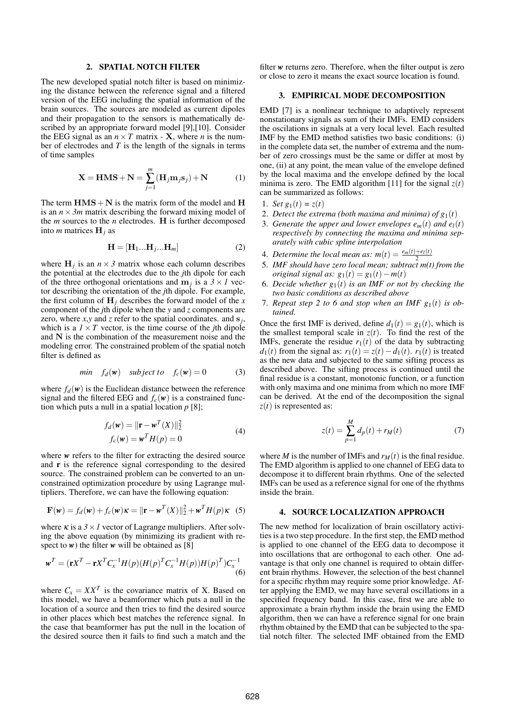#### 2. SPATIAL NOTCH FILTER

The new developed spatial notch filter is based on minimizing the distance between the reference signal and a filtered version of the EEG including the spatial information of the brain sources. The sources are modeled as current dipoles and their propagation to the sensors is mathematically described by an appropriate forward model [9],[10]. Consider the EEG signal as an  $n \times T$  matrix - **X**, where *n* is the number of electrodes and *T* is the length of the signals in terms of time samples

$$
\mathbf{X} = \mathbf{HMS} + \mathbf{N} = \sum_{j=1}^{m} (\mathbf{H}_j \mathbf{m}_j \mathbf{s}_j) + \mathbf{N}
$$
 (1)

The term  $HMS + N$  is the matrix form of the model and H is an  $n \times 3m$  matrix describing the forward mixing model of the *m* sources to the *n* electrodes. H is further decomposed into *m* matrices H*<sup>j</sup>* as

$$
\mathbf{H} = [\mathbf{H}_1 \dots \mathbf{H}_j \dots \mathbf{H}_m] \tag{2}
$$

where  $H_j$  is an  $n \times 3$  matrix whose each column describes the potential at the electrodes due to the *j*th dipole for each of the three orthogonal orientations and  $m_j$  is a  $3 \times 1$  vector describing the orientation of the *j*th dipole. For example, the first column of  $H_j$  describes the forward model of the *x* component of the *j*th dipole when the *y* and *z* components are zero, where  $x, y$  and  $z$  refer to the spatial coordinates. and  $s_j$ , which is a  $1 \times T$  vector, is the time course of the *j*th dipole and N is the combination of the measurement noise and the modeling error. The constrained problem of the spatial notch filter is defined as

$$
min \t f_d(w) \t subject to \t f_c(w) = 0 \t(3)
$$

where  $f_d(w)$  is the Euclidean distance between the reference signal and the filtered EEG and  $f_c(w)$  is a constrained function which puts a null in a spatial location *p* [8];

$$
f_d(\mathbf{w}) = ||\mathbf{r} - \mathbf{w}^T(X)||_2^2
$$
  

$$
f_c(\mathbf{w}) = \mathbf{w}^T H(p) = 0
$$
 (4)

where *w* refers to the filter for extracting the desired source and r is the reference signal corresponding to the desired source. The constrained problem can be converted to an unconstrained optimization procedure by using Lagrange multipliers. Therefore, we can have the following equation:

$$
\mathbf{F}(\mathbf{w}) = f_d(\mathbf{w}) + f_c(\mathbf{w})\mathbf{\kappa} = ||\mathbf{r} - \mathbf{w}^T(\mathbf{X})||_2^2 + \mathbf{w}^T H(p)\mathbf{\kappa}
$$
 (5)

where  $\kappa$  is a  $3 \times 1$  vector of Lagrange multipliers. After solving the above equation (by minimizing its gradient with respect to  $w$ ) the filter  $w$  will be obtained as [8]

$$
\mathbf{w}^T = (\mathbf{r}X^T - \mathbf{r}X^T C_x^{-1}H(p)(H(p)^T C_x^{-1}H(p))H(p)^T)C_x^{-1}
$$
\n(6)

where  $C_x = XX^T$  is the covariance matrix of X. Based on this model, we have a beamformer which puts a null in the location of a source and then tries to find the desired source in other places which best matches the reference signal. In the case that beamformer has put the null in the location of the desired source then it fails to find such a match and the

filter *w* returns zero. Therefore, when the filter output is zero or close to zero it means the exact source location is found.

#### 3. EMPIRICAL MODE DECOMPOSITION

EMD [7] is a nonlinear technique to adaptively represent nonstationary signals as sum of their IMFs. EMD considers the oscilations in signals at a very local level. Each resulted IMF by the EMD method satisfies two basic conditions: (i) in the complete data set, the number of extrema and the number of zero crossings must be the same or differ at most by one, (ii) at any point, the mean value of the envelope defined by the local maxima and the envelope defined by the local minima is zero. The EMD algorithm [11] for the signal  $z(t)$ can be summarized as follows:

- 1. *Set*  $g_1(t) = z(t)$
- 2. *Detect the extrema (both maxima and minima) of*  $g_1(t)$
- 3. *Generate the upper and lower envelopes*  $e_m(t)$  *and*  $e_l(t)$ *respectively by connecting the maxima and minima separately with cubic spline interpolation*
- 4. *Determine the local mean as:*  $m(t) = \frac{e_m(t) + e_l(t)}{2}$ 2
- 5. *IMF should have zero local mean; subtract m(t) from the original signal as:*  $g_1(t) = g_1(t) - m(t)$
- 6. *Decide whether*  $g_1(t)$  *is an IMF or not by checking the two basic conditions as described above*
- 7. *Repeat step 2 to 6 and stop when an IMF*  $g_1(t)$  *is obtained.*

Once the first IMF is derived, define  $d_1(t) = g_1(t)$ , which is the smallest temporal scale in  $z(t)$ . To find the rest of the IMFs, generate the residue  $r_1(t)$  of the data by subtracting *d*<sub>1</sub>(*t*) from the signal as:  $r_1(t) = z(t) - d_1(t)$ .  $r_1(t)$  is treated as the new data and subjected to the same sifting process as described above. The sifting process is continued until the final residue is a constant, monotonic function, or a function with only maxima and one minima from which no more IMF can be derived. At the end of the decomposition the signal *z*(*t*) is represented as:

$$
z(t) = \sum_{p=1}^{M} d_p(t) + r_M(t)
$$
 (7)

where *M* is the number of IMFs and  $r_M(t)$  is the final residue. The EMD algorithm is applied to one channel of EEG data to decompose it to different brain rhythms. One of the selected IMFs can be used as a reference signal for one of the rhythms inside the brain.

#### 4. SOURCE LOCALIZATION APPROACH

The new method for localization of brain oscillatory activities is a two step procedure. In the first step, the EMD method is applied to one channel of the EEG data to decompose it into oscillations that are orthogonal to each other. One advantage is that only one channel is required to obtain different brain rhythms. However, the selection of the best channel for a specific rhythm may require some prior knowledge. After applying the EMD, we may have several oscillations in a specified frequency band. In this case, first we are able to approximate a brain rhythm inside the brain using the EMD algorithm, then we can have a reference signal for one brain rhythm obtained by the EMD that can be subjected to the spatial notch filter. The selected IMF obtained from the EMD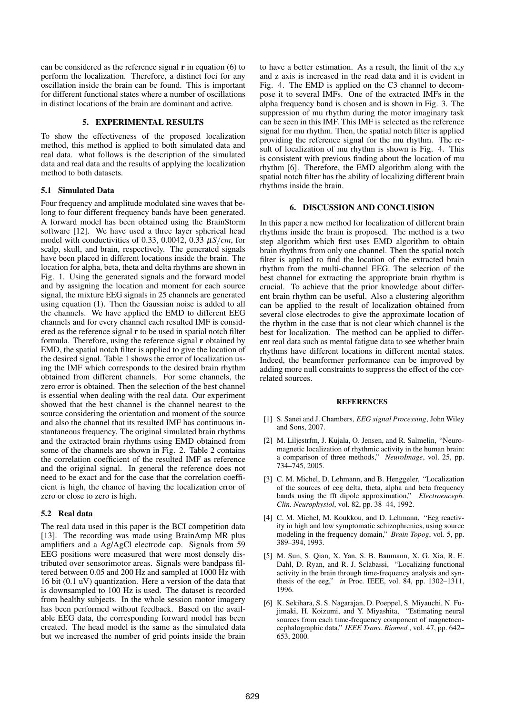can be considered as the reference signal  $\bf{r}$  in equation (6) to perform the localization. Therefore, a distinct foci for any oscillation inside the brain can be found. This is important for different functional states where a number of oscillations in distinct locations of the brain are dominant and active.

### 5. EXPERIMENTAL RESULTS

To show the effectiveness of the proposed localization method, this method is applied to both simulated data and real data. what follows is the description of the simulated data and real data and the results of applying the localization method to both datasets.

### 5.1 Simulated Data

Four frequency and amplitude modulated sine waves that belong to four different frequency bands have been generated. A forward model has been obtained using the BrainStorm software [12]. We have used a three layer spherical head model with conductivities of 0.33, 0.0042, 0.33 <sup>µ</sup>*S*/*cm*, for scalp, skull, and brain, respectively. The generated signals have been placed in different locations inside the brain. The location for alpha, beta, theta and delta rhythms are shown in Fig. 1. Using the generated signals and the forward model and by assigning the location and moment for each source signal, the mixture EEG signals in 25 channels are generated using equation (1). Then the Gaussian noise is added to all the channels. We have applied the EMD to different EEG channels and for every channel each resulted IMF is considered as the reference signal r to be used in spatial notch filter formula. Therefore, using the reference signal r obtained by EMD, the spatial notch filter is applied to give the location of the desired signal. Table 1 shows the error of localization using the IMF which corresponds to the desired brain rhythm obtained from different channels. For some channels, the zero error is obtained. Then the selection of the best channel is essential when dealing with the real data. Our experiment showed that the best channel is the channel nearest to the source considering the orientation and moment of the source and also the channel that its resulted IMF has continuous instantaneous frequency. The original simulated brain rhythms and the extracted brain rhythms using EMD obtained from some of the channels are shown in Fig. 2. Table 2 contains the correlation coefficient of the resulted IMF as reference and the original signal. In general the reference does not need to be exact and for the case that the correlation coefficient is high, the chance of having the localization error of zero or close to zero is high.

#### 5.2 Real data

The real data used in this paper is the BCI competition data [13]. The recording was made using BrainAmp MR plus amplifiers and a Ag/AgCl electrode cap. Signals from 59 EEG positions were measured that were most densely distributed over sensorimotor areas. Signals were bandpass filtered between 0.05 and 200 Hz and sampled at 1000 Hz with 16 bit (0.1 uV) quantization. Here a version of the data that is downsampled to 100 Hz is used. The dataset is recorded from healthy subjects. In the whole session motor imagery has been performed without feedback. Based on the available EEG data, the corresponding forward model has been created. The head model is the same as the simulated data but we increased the number of grid points inside the brain to have a better estimation. As a result, the limit of the x,y and z axis is increased in the read data and it is evident in Fig. 4. The EMD is applied on the C3 channel to decompose it to several IMFs. One of the extracted IMFs in the alpha frequency band is chosen and is shown in Fig. 3. The suppression of mu rhythm during the motor imaginary task can be seen in this IMF. This IMF is selected as the reference signal for mu rhythm. Then, the spatial notch filter is applied providing the reference signal for the mu rhythm. The result of localization of mu rhythm is shown is Fig. 4. This is consistent with previous finding about the location of mu rhythm [6]. Therefore, the EMD algorithm along with the spatial notch filter has the ability of localizing different brain rhythms inside the brain.

# 6. DISCUSSION AND CONCLUSION

In this paper a new method for localization of different brain rhythms inside the brain is proposed. The method is a two step algorithm which first uses EMD algorithm to obtain brain rhythms from only one channel. Then the spatial notch filter is applied to find the location of the extracted brain rhythm from the multi-channel EEG. The selection of the best channel for extracting the appropriate brain rhythm is crucial. To achieve that the prior knowledge about different brain rhythm can be useful. Also a clustering algorithm can be applied to the result of localization obtained from several close electrodes to give the approximate location of the rhythm in the case that is not clear which channel is the best for localization. The method can be applied to different real data such as mental fatigue data to see whether brain rhythms have different locations in different mental states. Indeed, the beamformer performance can be improved by adding more null constraints to suppress the effect of the correlated sources.

#### **REFERENCES**

- [1] S. Sanei and J. Chambers, *EEG signal Processing*, John Wiley and Sons, 2007.
- [2] M. Liljestrfm, J. Kujala, O. Jensen, and R. Salmelin, "Neuromagnetic localization of rhythmic activity in the human brain: a comparison of three methods," *NeuroImage*, vol. 25, pp. 734–745, 2005.
- [3] C. M. Michel, D. Lehmann, and B. Henggeler, "Localization of the sources of eeg delta, theta, alpha and beta frequency bands using the fft dipole approximation," *Electroenceph. Clin. Neurophysiol*, vol. 82, pp. 38–44, 1992.
- [4] C. M. Michel, M. Koukkou, and D. Lehmann, "Eeg reactivity in high and low symptomatic schizophrenics, using source modeling in the frequency domain," *Brain Topog*, vol. 5, pp. 389–394, 1993.
- [5] M. Sun, S. Qian, X. Yan, S. B. Baumann, X. G. Xia, R. E. Dahl, D. Ryan, and R. J. Sclabassi, "Localizing functional activity in the brain through time-frequency analysis and synthesis of the eeg," *in* Proc*.* IEEE, vol. 84, pp. 1302–1311, 1996.
- [6] K. Sekihara, S. S. Nagarajan, D. Poeppel, S. Miyauchi, N. Fujimaki, H. Koizumi, and Y. Miyashita, "Estimating neural sources from each time-frequency component of magnetoencephalographic data," *IEEE Trans. Biomed.*, vol. 47, pp. 642– 653, 2000.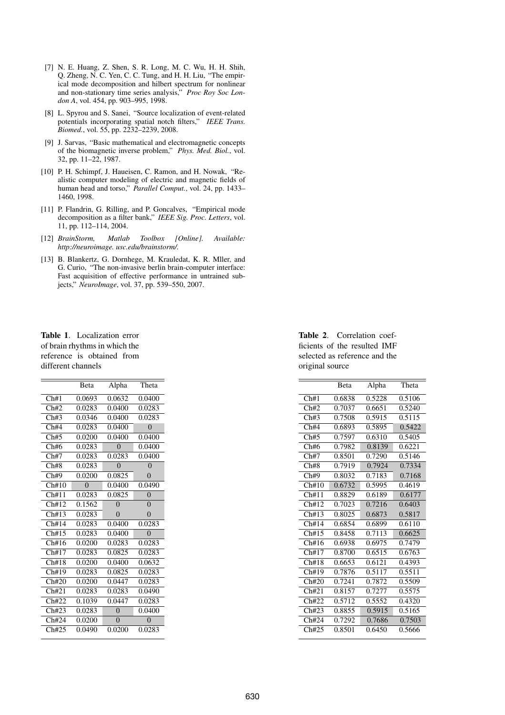- [7] N. E. Huang, Z. Shen, S. R. Long, M. C. Wu, H. H. Shih, Q. Zheng, N. C. Yen, C. C. Tung, and H. H. Liu, "The empirical mode decomposition and hilbert spectrum for nonlinear and non-stationary time series analysis," *Proc Roy Soc London A*, vol. 454, pp. 903–995, 1998.
- [8] L. Spyrou and S. Sanei, "Source localization of event-related potentials incorporating spatial notch filters," *IEEE Trans. Biomed.*, vol. 55, pp. 2232–2239, 2008.
- [9] J. Sarvas, "Basic mathematical and electromagnetic concepts of the biomagnetic inverse problem," *Phys. Med. Biol.*, vol. 32, pp. 11–22, 1987.
- [10] P. H. Schimpf, J. Haueisen, C. Ramon, and H. Nowak, "Realistic computer modeling of electric and magnetic fields of human head and torso," *Parallel Comput.*, vol. 24, pp. 1433– 1460, 1998.
- [11] P. Flandrin, G. Rilling, and P. Goncalves, "Empirical mode decomposition as a filter bank," *IEEE Sig. Proc. Letters*, vol. 11, pp. 112–114, 2004.
- [12] *BrainStorm, Matlab Toolbox [Online]. Available: http://neuroimage. usc.edu/brainstorm/.*
- [13] B. Blankertz, G. Dornhege, M. Krauledat, K. R. Mller, and G. Curio, "The non-invasive berlin brain-computer interface: Fast acquisition of effective performance in untrained subjects," *NeuroImage*, vol. 37, pp. 539–550, 2007.

Table 1. Localization error of brain rhythms in which the reference is obtained from different channels

|       | Beta     | Alpha    | Theta    |
|-------|----------|----------|----------|
| Ch#1  | 0.0693   | 0.0632   | 0.0400   |
| Ch#2  | 0.0283   | 0.0400   | 0.0283   |
| Ch#3  | 0.0346   | 0.0400   | 0.0283   |
| Ch#4  | 0.0283   | 0.0400   | $\Omega$ |
| Ch#5  | 0.0200   | 0.0400   | 0.0400   |
| Ch#6  | 0.0283   | $\theta$ | 0.0400   |
| Ch#7  | 0.0283   | 0.0283   | 0.0400   |
| Ch#8  | 0.0283   | $\Omega$ | $\Omega$ |
| Ch#9  | 0.0200   | 0.0825   | $\Omega$ |
| Ch#10 | $\Omega$ | 0.0400   | 0.0490   |
| Ch#11 | 0.0283   | 0.0825   | $\Omega$ |
| Ch#12 | 0.1562   | $\Omega$ | $\Omega$ |
| Ch#13 | 0.0283   | $\theta$ | $\Omega$ |
| Ch#14 | 0.0283   | 0.0400   | 0.0283   |
| Ch#15 | 0.0283   | 0.0400   | $\Omega$ |
| Ch#16 | 0.0200   | 0.0283   | 0.0283   |
| Ch#17 | 0.0283   | 0.0825   | 0.0283   |
| Ch#18 | 0.0200   | 0.0400   | 0.0632   |
| Ch#19 | 0.0283   | 0.0825   | 0.0283   |
| Ch#20 | 0.0200   | 0.0447   | 0.0283   |
| Ch#21 | 0.0283   | 0.0283   | 0.0490   |
| Ch#22 | 0.1039   | 0.0447   | 0.0283   |
| Ch#23 | 0.0283   | $\theta$ | 0.0400   |
| Ch#24 | 0.0200   | $\theta$ | $\Omega$ |
| Ch#25 | 0.0490   | 0.0200   | 0.0283   |

Table 2. Correlation coefficients of the resulted IMF selected as reference and the original source

|       | <b>B</b> eta | Alpha  | Theta  |
|-------|--------------|--------|--------|
| Ch#1  | 0.6838       | 0.5228 | 0.5106 |
| Ch#2  | 0.7037       | 0.6651 | 0.5240 |
| Ch#3  | 0.7508       | 0.5915 | 0.5115 |
| Ch#4  | 0.6893       | 0.5895 | 0.5422 |
| Ch#5  | 0.7597       | 0.6310 | 0.5405 |
| Ch#6  | 0.7982       | 0.8139 | 0.6221 |
| Ch#7  | 0.8501       | 0.7290 | 0.5146 |
| Ch#8  | 0.7919       | 0.7924 | 0.7334 |
| Ch#9  | 0.8032       | 0.7183 | 0.7168 |
| Ch#10 | 0.6732       | 0.5995 | 0.4619 |
| Ch#11 | 0.8829       | 0.6189 | 0.6177 |
| Ch#12 | 0.7023       | 0.7216 | 0.6403 |
| Ch#13 | 0.8025       | 0.6873 | 0.5817 |
| Ch#14 | 0.6854       | 0.6899 | 0.6110 |
| Ch#15 | 0.8458       | 0.7113 | 0.6625 |
| Ch#16 | 0.6938       | 0.6975 | 0.7479 |
| Ch#17 | 0.8700       | 0.6515 | 0.6763 |
| Ch#18 | 0.6653       | 0.6121 | 0.4393 |
| Ch#19 | 0.7876       | 0.5117 | 0.5511 |
| Ch#20 | 0.7241       | 0.7872 | 0.5509 |
| Ch#21 | 0.8157       | 0.7277 | 0.5575 |
| Ch#22 | 0.5712       | 0.5552 | 0.4320 |
| Ch#23 | 0.8855       | 0.5915 | 0.5165 |
| Ch#24 | 0.7292       | 0.7686 | 0.7503 |
| Ch#25 | 0.8501       | 0.6450 | 0.5666 |